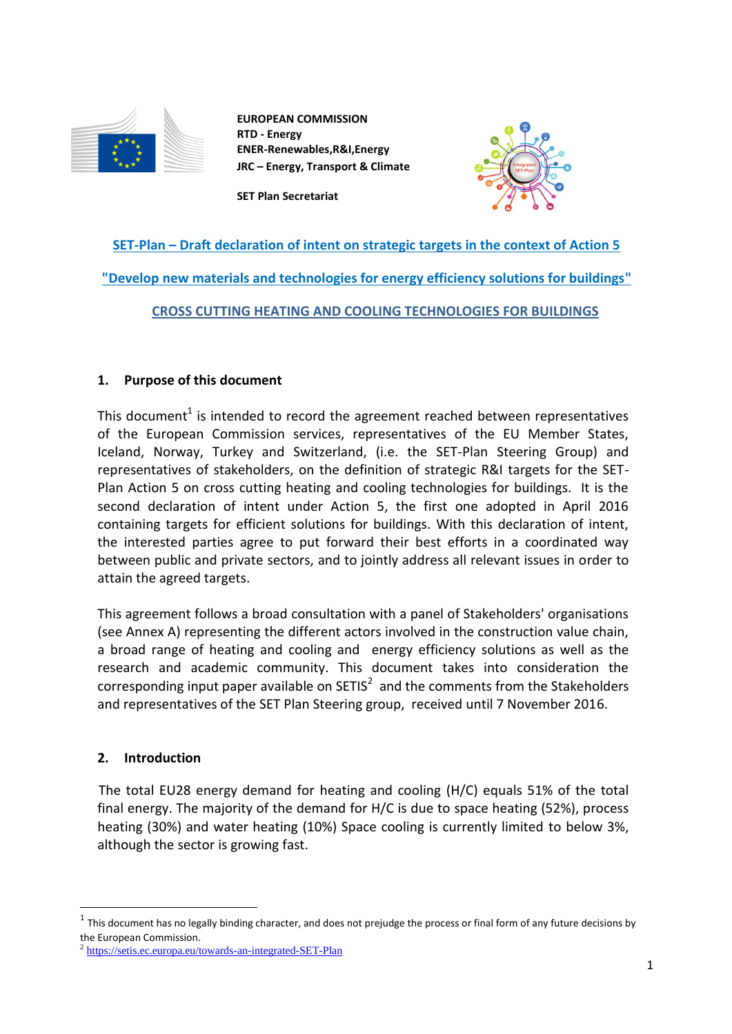

**EUROPEAN COMMISSION RTD - Energy ENER-Renewables,R&I,Energy JRC – Energy, Transport & Climate**



**SET Plan Secretariat**

# **SET-Plan – Draft declaration of intent on strategic targets in the context of Action 5 "Develop new materials and technologies for energy efficiency solutions for buildings" CROSS CUTTING HEATING AND COOLING TECHNOLOGIES FOR BUILDINGS**

# **1. Purpose of this document**

This document<sup>1</sup> is intended to record the agreement reached between representatives of the European Commission services, representatives of the EU Member States, Iceland, Norway, Turkey and Switzerland, (i.e. the SET-Plan Steering Group) and representatives of stakeholders, on the definition of strategic R&I targets for the SET-Plan Action 5 on cross cutting heating and cooling technologies for buildings. It is the second declaration of intent under Action 5, the first one adopted in April 2016 containing targets for efficient solutions for buildings. With this declaration of intent, the interested parties agree to put forward their best efforts in a coordinated way between public and private sectors, and to jointly address all relevant issues in order to attain the agreed targets.

This agreement follows a broad consultation with a panel of Stakeholders' organisations (see Annex A) representing the different actors involved in the construction value chain, a broad range of heating and cooling and energy efficiency solutions as well as the research and academic community. This document takes into consideration the corresponding input paper available on SETIS<sup>2</sup> and the comments from the Stakeholders and representatives of the SET Plan Steering group, received until 7 November 2016.

# **2. Introduction**

 $\overline{a}$ 

The total EU28 energy demand for heating and cooling (H/C) equals 51% of the total final energy. The majority of the demand for H/C is due to space heating (52%), process heating (30%) and water heating (10%) Space cooling is currently limited to below 3%, although the sector is growing fast.

 $^1$  This document has no legally binding character, and does not prejudge the process or final form of any future decisions by the European Commission.

<sup>&</sup>lt;sup>2</sup> <https://setis.ec.europa.eu/towards-an-integrated-SET-Plan>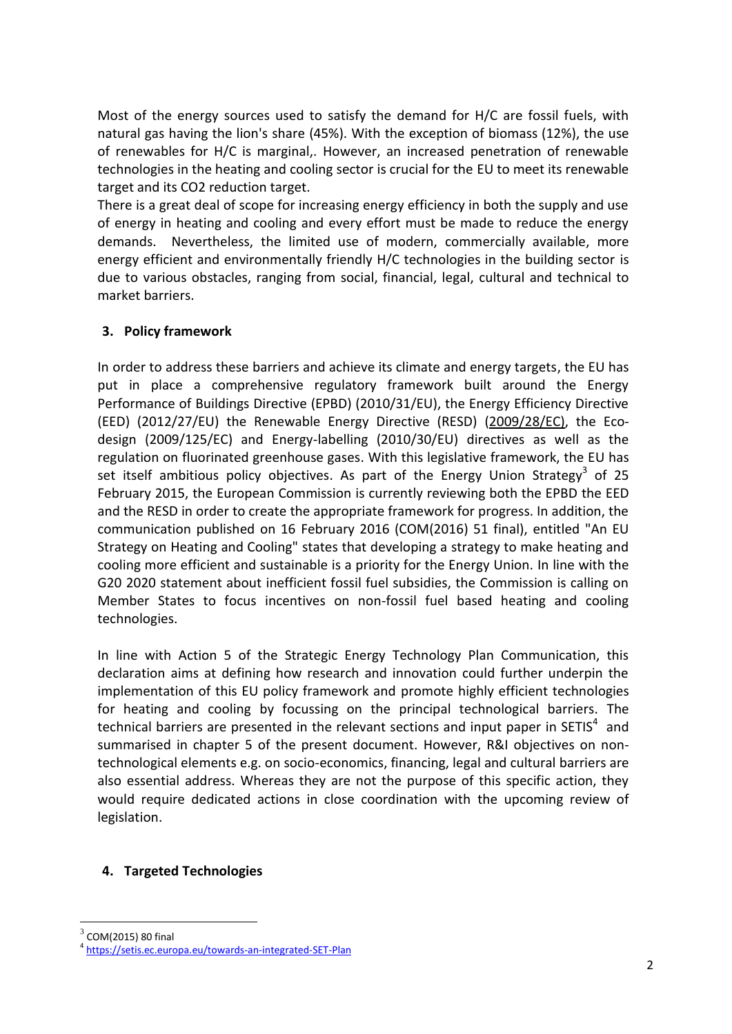Most of the energy sources used to satisfy the demand for H/C are fossil fuels, with natural gas having the lion's share (45%). With the exception of biomass (12%), the use of renewables for H/C is marginal,. However, an increased penetration of renewable technologies in the heating and cooling sector is crucial for the EU to meet its renewable target and its CO2 reduction target.

There is a great deal of scope for increasing energy efficiency in both the supply and use of energy in heating and cooling and every effort must be made to reduce the energy demands. Nevertheless, the limited use of modern, commercially available, more energy efficient and environmentally friendly H/C technologies in the building sector is due to various obstacles, ranging from social, financial, legal, cultural and technical to market barriers.

# **3. Policy framework**

In order to address these barriers and achieve its climate and energy targets, the EU has put in place a comprehensive regulatory framework built around the Energy Performance of Buildings Directive (EPBD) (2010/31/EU), the Energy Efficiency Directive (EED) (2012/27/EU) the Renewable Energy Directive (RESD) [\(2009/28/EC\),](http://eur-lex.europa.eu/legal-content/EN/ALL/?uri=CELEX%3A32009L0028) the Ecodesign (2009/125/EC) and Energy-labelling (2010/30/EU) directives as well as the regulation on fluorinated greenhouse gases. With this legislative framework, the EU has set itself ambitious policy objectives. As part of the Energy Union Strategy<sup>3</sup> of 25 February 2015, the European Commission is currently reviewing both the EPBD the EED and the RESD in order to create the appropriate framework for progress. In addition, the communication published on 16 February 2016 (COM(2016) 51 final), entitled "An EU Strategy on Heating and Cooling" states that developing a strategy to make heating and cooling more efficient and sustainable is a priority for the Energy Union. In line with the G20 2020 statement about inefficient fossil fuel subsidies, the Commission is calling on Member States to focus incentives on non-fossil fuel based heating and cooling technologies.

In line with Action 5 of the Strategic Energy Technology Plan Communication, this declaration aims at defining how research and innovation could further underpin the implementation of this EU policy framework and promote highly efficient technologies for heating and cooling by focussing on the principal technological barriers. The technical barriers are presented in the relevant sections and input paper in SETIS<sup>4</sup> and summarised in chapter 5 of the present document. However, R&I objectives on nontechnological elements e.g. on socio-economics, financing, legal and cultural barriers are also essential address. Whereas they are not the purpose of this specific action, they would require dedicated actions in close coordination with the upcoming review of legislation.

## **4. Targeted Technologies**

 $\overline{a}$ 

<sup>3</sup> COM(2015) 80 final

<sup>4</sup> <https://setis.ec.europa.eu/towards-an-integrated-SET-Plan>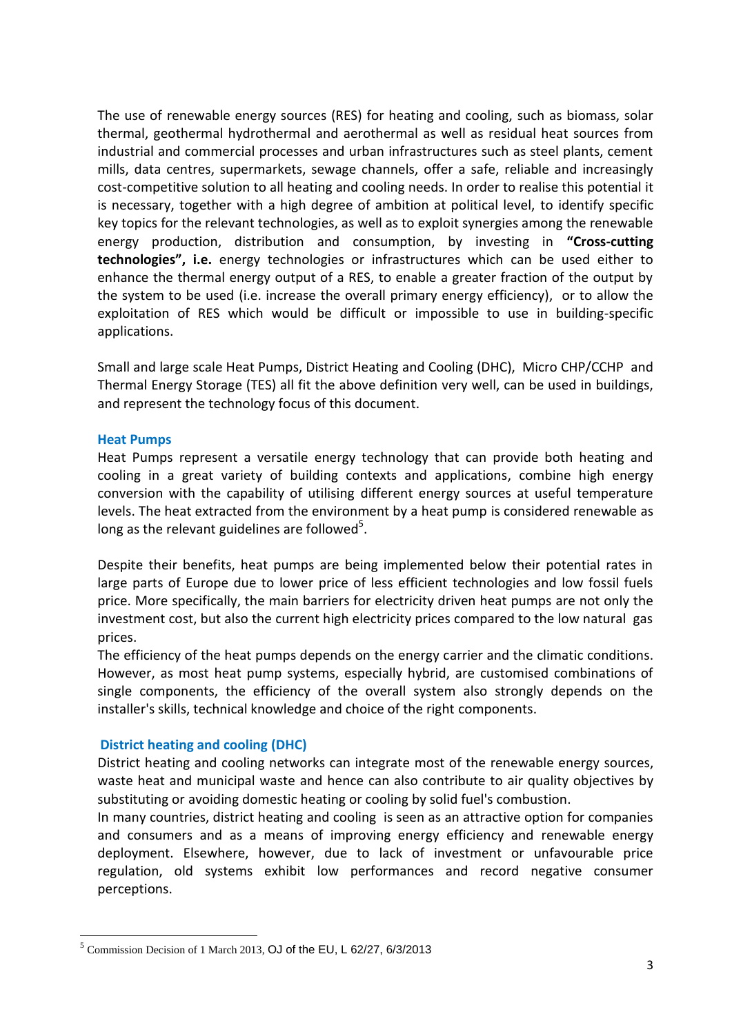The use of renewable energy sources (RES) for heating and cooling, such as biomass, solar thermal, geothermal hydrothermal and aerothermal as well as residual heat sources from industrial and commercial processes and urban infrastructures such as steel plants, cement mills, data centres, supermarkets, sewage channels, offer a safe, reliable and increasingly cost-competitive solution to all heating and cooling needs. In order to realise this potential it is necessary, together with a high degree of ambition at political level, to identify specific key topics for the relevant technologies, as well as to exploit synergies among the renewable energy production, distribution and consumption, by investing in **"Cross-cutting technologies", i.e.** energy technologies or infrastructures which can be used either to enhance the thermal energy output of a RES, to enable a greater fraction of the output by the system to be used (i.e. increase the overall primary energy efficiency), or to allow the exploitation of RES which would be difficult or impossible to use in building-specific applications.

Small and large scale Heat Pumps, District Heating and Cooling (DHC), Micro CHP/CCHP and Thermal Energy Storage (TES) all fit the above definition very well, can be used in buildings, and represent the technology focus of this document.

## **Heat Pumps**

 $\overline{a}$ 

Heat Pumps represent a versatile energy technology that can provide both heating and cooling in a great variety of building contexts and applications, combine high energy conversion with the capability of utilising different energy sources at useful temperature levels. The heat extracted from the environment by a heat pump is considered renewable as long as the relevant guidelines are followed $5$ .

Despite their benefits, heat pumps are being implemented below their potential rates in large parts of Europe due to lower price of less efficient technologies and low fossil fuels price. More specifically, the main barriers for electricity driven heat pumps are not only the investment cost, but also the current high electricity prices compared to the low natural gas prices.

The efficiency of the heat pumps depends on the energy carrier and the climatic conditions. However, as most heat pump systems, especially hybrid, are customised combinations of single components, the efficiency of the overall system also strongly depends on the installer's skills, technical knowledge and choice of the right components.

## **District heating and cooling (DHC)**

District heating and cooling networks can integrate most of the renewable energy sources, waste heat and municipal waste and hence can also contribute to air quality objectives by substituting or avoiding domestic heating or cooling by solid fuel's combustion.

In many countries, district heating and cooling is seen as an attractive option for companies and consumers and as a means of improving energy efficiency and renewable energy deployment. Elsewhere, however, due to lack of investment or unfavourable price regulation, old systems exhibit low performances and record negative consumer perceptions.

<sup>&</sup>lt;sup>5</sup> Commission Decision of 1 March 2013, OJ of the EU, L 62/27, 6/3/2013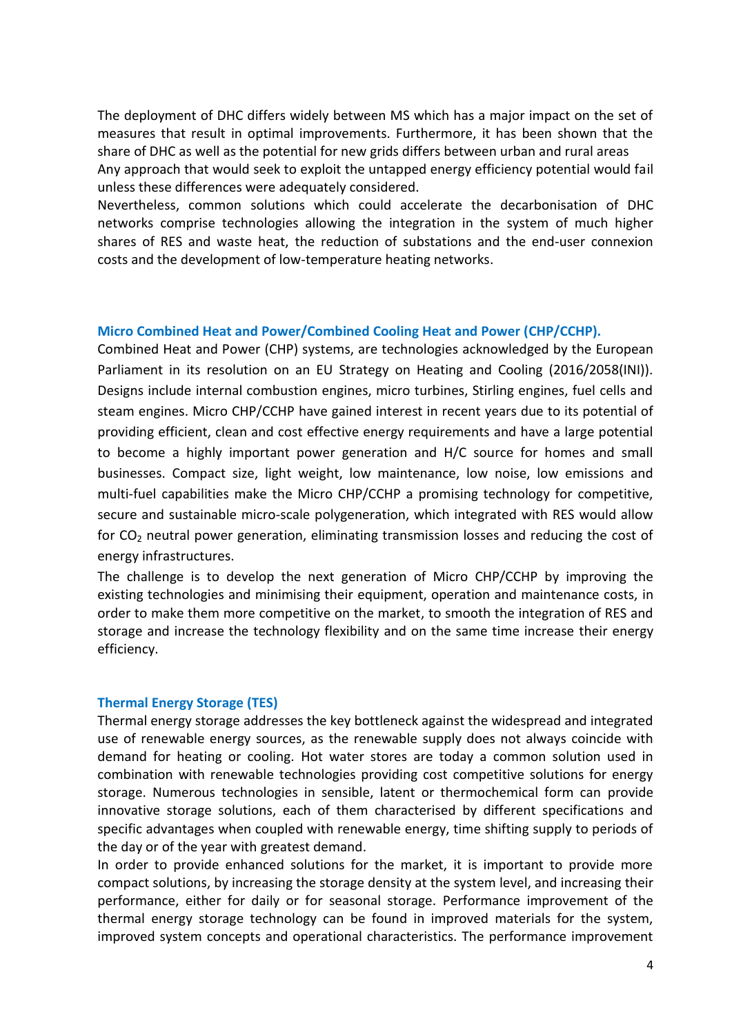The deployment of DHC differs widely between MS which has a major impact on the set of measures that result in optimal improvements. Furthermore, it has been shown that the share of DHC as well as the potential for new grids differs between urban and rural areas Any approach that would seek to exploit the untapped energy efficiency potential would fail unless these differences were adequately considered.

Nevertheless, common solutions which could accelerate the decarbonisation of DHC networks comprise technologies allowing the integration in the system of much higher shares of RES and waste heat, the reduction of substations and the end-user connexion costs and the development of low-temperature heating networks.

#### **Micro Combined Heat and Power/Combined Cooling Heat and Power (CHP/CCHP).**

Combined Heat and Power (CHP) systems, are technologies acknowledged by the European Parliament in its resolution on an EU Strategy on Heating and Cooling (2016/2058(INI)). Designs include internal combustion engines, micro turbines, Stirling engines, fuel cells and steam engines. Micro CHP/CCHP have gained interest in recent years due to its potential of providing efficient, clean and cost effective energy requirements and have a large potential to become a highly important power generation and H/C source for homes and small businesses. Compact size, light weight, low maintenance, low noise, low emissions and multi-fuel capabilities make the Micro CHP/CCHP a promising technology for competitive, secure and sustainable micro-scale polygeneration, which integrated with RES would allow for  $CO<sub>2</sub>$  neutral power generation, eliminating transmission losses and reducing the cost of energy infrastructures.

The challenge is to develop the next generation of Micro CHP/CCHP by improving the existing technologies and minimising their equipment, operation and maintenance costs, in order to make them more competitive on the market, to smooth the integration of RES and storage and increase the technology flexibility and on the same time increase their energy efficiency.

#### **Thermal Energy Storage (TES)**

Thermal energy storage addresses the key bottleneck against the widespread and integrated use of renewable energy sources, as the renewable supply does not always coincide with demand for heating or cooling. Hot water stores are today a common solution used in combination with renewable technologies providing cost competitive solutions for energy storage. Numerous technologies in sensible, latent or thermochemical form can provide innovative storage solutions, each of them characterised by different specifications and specific advantages when coupled with renewable energy, time shifting supply to periods of the day or of the year with greatest demand.

In order to provide enhanced solutions for the market, it is important to provide more compact solutions, by increasing the storage density at the system level, and increasing their performance, either for daily or for seasonal storage. Performance improvement of the thermal energy storage technology can be found in improved materials for the system, improved system concepts and operational characteristics. The performance improvement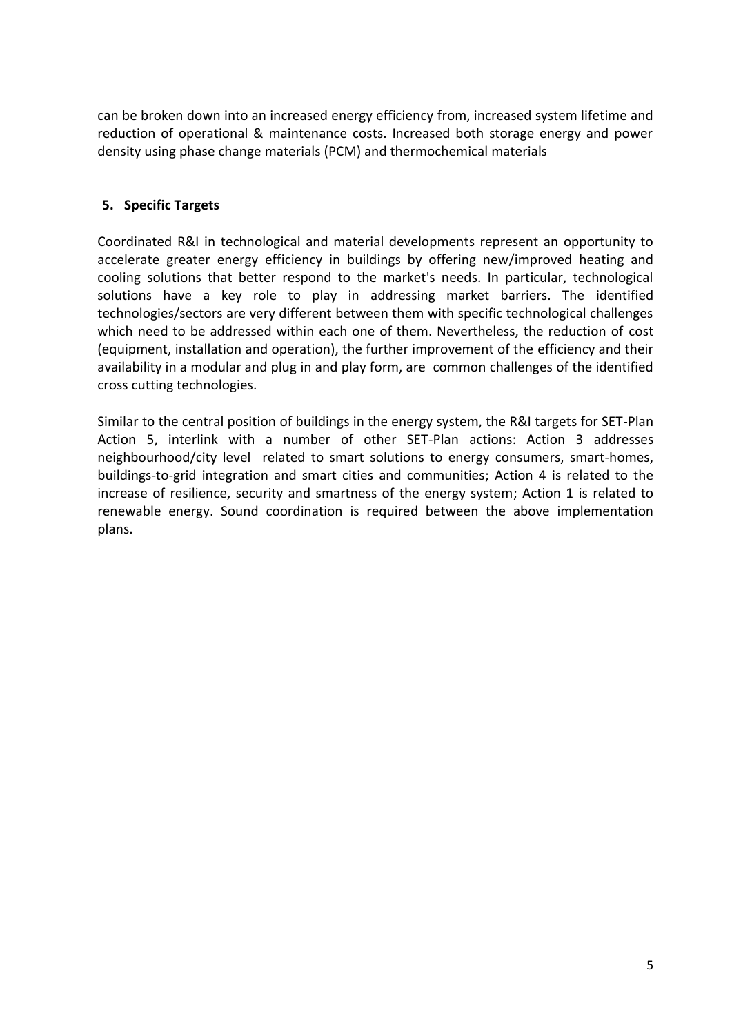can be broken down into an increased energy efficiency from, increased system lifetime and reduction of operational & maintenance costs. Increased both storage energy and power density using phase change materials (PCM) and thermochemical materials

# **5. Specific Targets**

Coordinated R&I in technological and material developments represent an opportunity to accelerate greater energy efficiency in buildings by offering new/improved heating and cooling solutions that better respond to the market's needs. In particular, technological solutions have a key role to play in addressing market barriers. The identified technologies/sectors are very different between them with specific technological challenges which need to be addressed within each one of them. Nevertheless, the reduction of cost (equipment, installation and operation), the further improvement of the efficiency and their availability in a modular and plug in and play form, are common challenges of the identified cross cutting technologies.

Similar to the central position of buildings in the energy system, the R&I targets for SET-Plan Action 5, interlink with a number of other SET-Plan actions: Action 3 addresses neighbourhood/city level related to smart solutions to energy consumers, smart-homes, buildings-to-grid integration and smart cities and communities; Action 4 is related to the increase of resilience, security and smartness of the energy system; Action 1 is related to renewable energy. Sound coordination is required between the above implementation plans.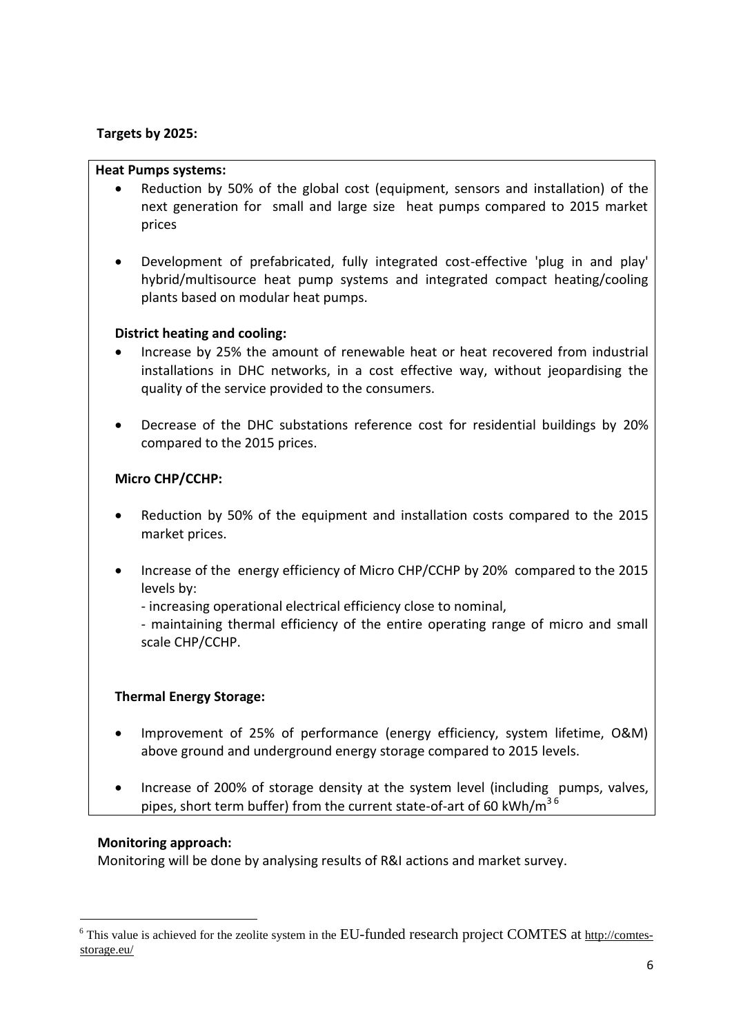## **Targets by 2025:**

## **Heat Pumps systems:**

- Reduction by 50% of the global cost (equipment, sensors and installation) of the next generation for small and large size heat pumps compared to 2015 market prices
- Development of prefabricated, fully integrated cost-effective 'plug in and play' hybrid/multisource heat pump systems and integrated compact heating/cooling plants based on modular heat pumps.

## **District heating and cooling:**

- Increase by 25% the amount of renewable heat or heat recovered from industrial installations in DHC networks, in a cost effective way, without jeopardising the quality of the service provided to the consumers.
- Decrease of the DHC substations reference cost for residential buildings by 20% compared to the 2015 prices.

## **Micro CHP/CCHP:**

- Reduction by 50% of the equipment and installation costs compared to the 2015 market prices.
- Increase of the energy efficiency of Micro CHP/CCHP by 20% compared to the 2015 levels by:
	- increasing operational electrical efficiency close to nominal,

- maintaining thermal efficiency of the entire operating range of micro and small scale CHP/CCHP.

# **Thermal Energy Storage:**

- Improvement of 25% of performance (energy efficiency, system lifetime, O&M) above ground and underground energy storage compared to 2015 levels.
- Increase of 200% of storage density at the system level (including pumps, valves, pipes, short term buffer) from the current state-of-art of 60 kWh/m<sup>36</sup>

## **Monitoring approach:**

 $\overline{a}$ 

Monitoring will be done by analysing results of R&I actions and market survey.

<sup>&</sup>lt;sup>6</sup> This value is achieved for the zeolite system in the EU-funded research project COMTES at [http://comtes](http://comtes-storage.eu/)[storage.eu/](http://comtes-storage.eu/)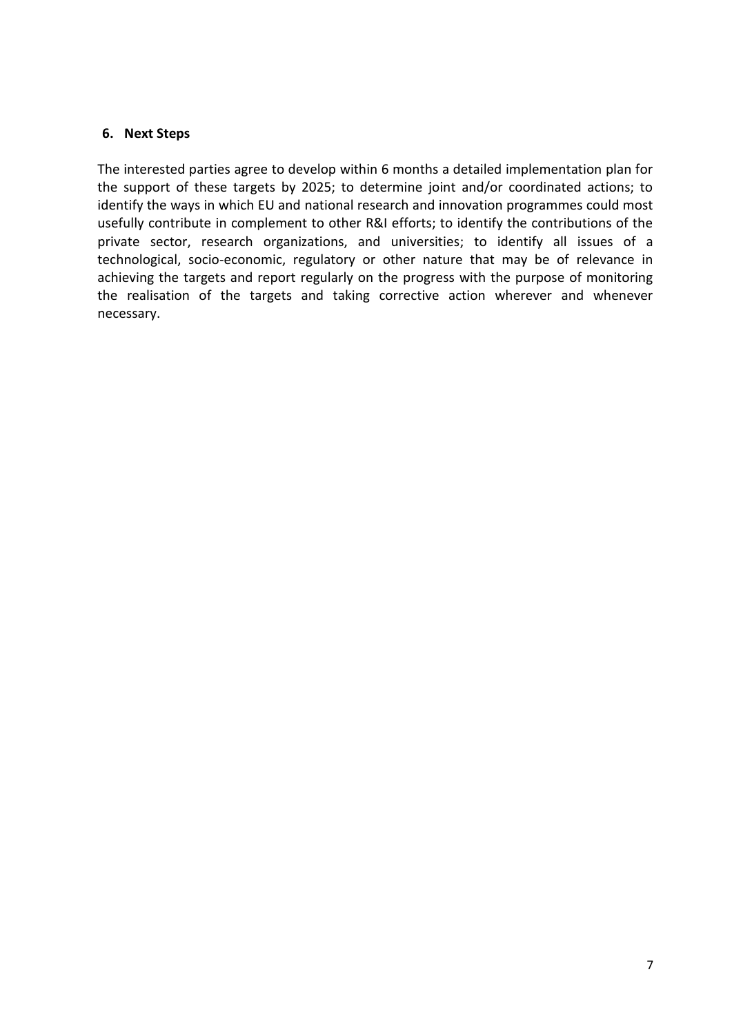# **6. Next Steps**

The interested parties agree to develop within 6 months a detailed implementation plan for the support of these targets by 2025; to determine joint and/or coordinated actions; to identify the ways in which EU and national research and innovation programmes could most usefully contribute in complement to other R&I efforts; to identify the contributions of the private sector, research organizations, and universities; to identify all issues of a technological, socio-economic, regulatory or other nature that may be of relevance in achieving the targets and report regularly on the progress with the purpose of monitoring the realisation of the targets and taking corrective action wherever and whenever necessary.